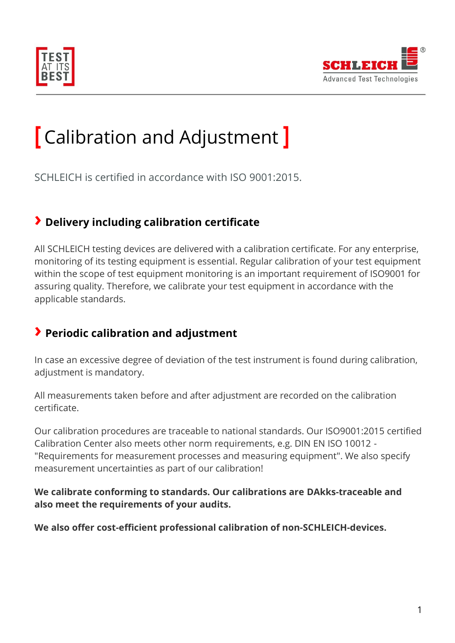



# **[** Calibration and Adjustment **]**

SCHLEICH is certified in accordance with ISO 9001:2015.

## **› Delivery including calibration certificate**

All SCHLEICH testing devices are delivered with a calibration certificate. For any enterprise, monitoring of its testing equipment is essential. Regular calibration of your test equipment within the scope of test equipment monitoring is an important requirement of ISO9001 for assuring quality. Therefore, we calibrate your test equipment in accordance with the applicable standards.

## **› Periodic calibration and adjustment**

In case an excessive degree of deviation of the test instrument is found during calibration, adjustment is mandatory.

All measurements taken before and after adjustment are recorded on the calibration certificate.

Our calibration procedures are traceable to national standards. Our ISO9001:2015 certified Calibration Center also meets other norm requirements, e.g. DIN EN ISO 10012 - "Requirements for measurement processes and measuring equipment". We also specify measurement uncertainties as part of our calibration!

#### **We calibrate conforming to standards. Our calibrations are DAkks-traceable and also meet the requirements of your audits.**

**We also offer cost-efficient professional calibration of non-SCHLEICH-devices.**